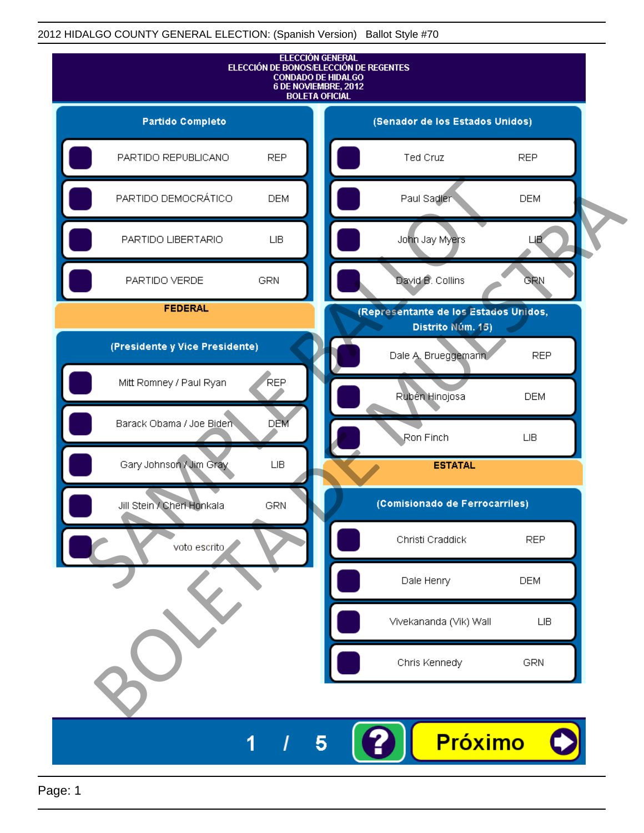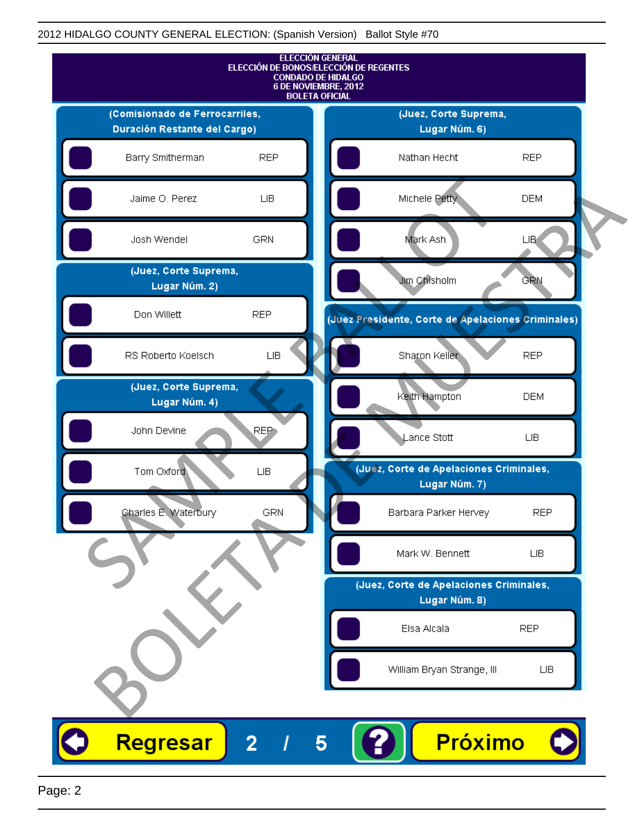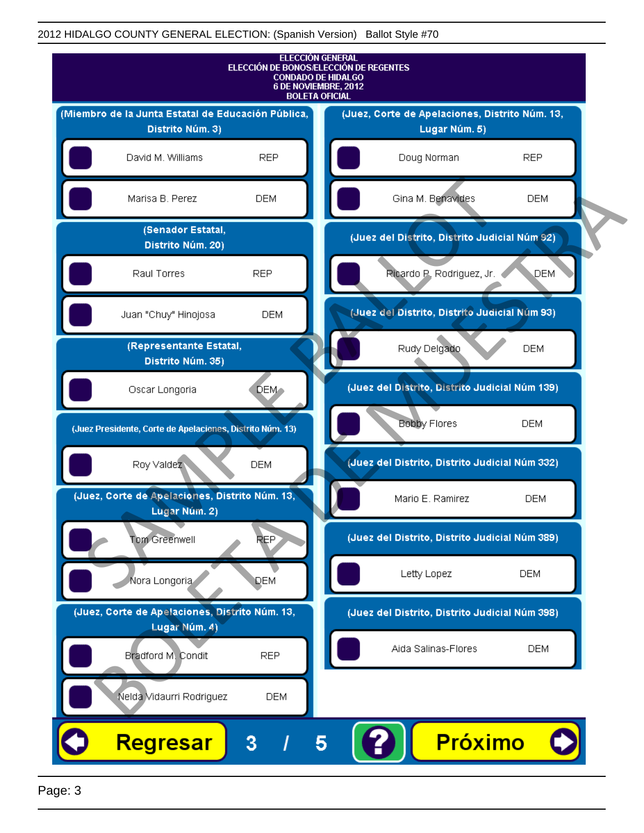

Page: 3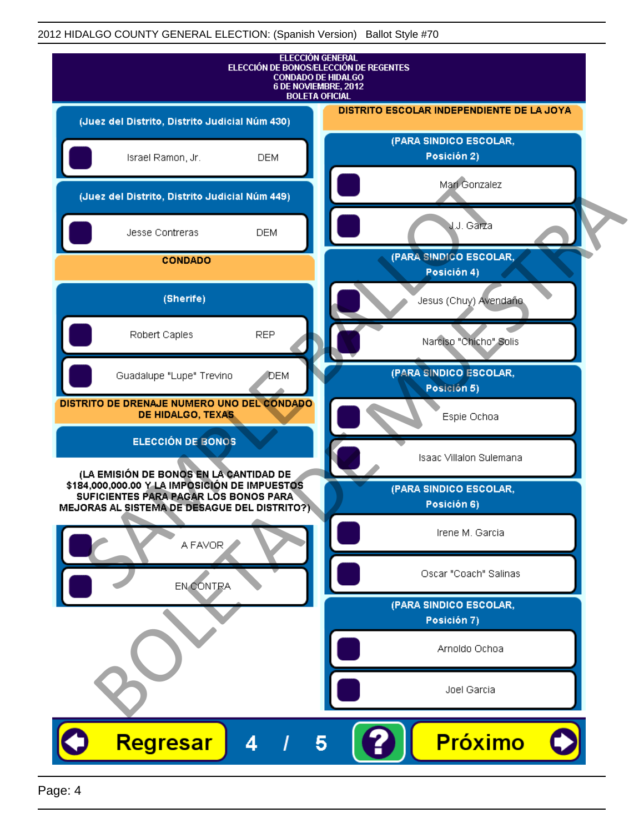| <b>ELECCIÓN GENERAL</b><br>ELECCIÓN DE BONOS/ELECCIÓN DE REGENTES<br><b>CONDADO DE HIDALGO</b><br>6 DE NOVIEMBRE, 2012<br><b>BOLETA OFICIAL</b>                                  |                                           |
|----------------------------------------------------------------------------------------------------------------------------------------------------------------------------------|-------------------------------------------|
| (Juez del Distrito, Distrito Judicial Núm 430)                                                                                                                                   | DISTRITO ESCOLAR INDEPENDIENTE DE LA JOYA |
| Israel Ramon, Jr.<br><b>DEM</b>                                                                                                                                                  | (PARA SINDICO ESCOLAR,<br>Posición 2)     |
| (Juez del Distrito, Distrito Judicial Núm 449)                                                                                                                                   | Mari Gonzalez                             |
| Jesse Contreras<br><b>DEM</b>                                                                                                                                                    | <b>J.J. Garza</b>                         |
| <b>CONDADO</b>                                                                                                                                                                   | (PARA SINDICO ESCOLAR,<br>Posición 4)     |
| (Sherife)                                                                                                                                                                        | Jesus (Chuy) Avendaño                     |
| <b>REP</b><br>Robert Caples                                                                                                                                                      | Narciso "Chicho" Solis                    |
| Guadalupe "Lupe" Trevino<br>DEM                                                                                                                                                  | (PARA SINDICO ESCOLAR,<br>Posición 5)     |
| DISTRITO DE DRENAJE NUMERO UNO DEL CONDADO<br>DE HIDALGO, TEXAS                                                                                                                  | Espie Ochoa                               |
| <b>ELECCIÓN DE BONOS</b>                                                                                                                                                         | Isaac Villalon Sulemana                   |
| (LA EMISIÓN DE BONOS EN LA CANTIDAD DE<br>\$184,000,000.00 Y LA IMPOSICIÓN DE IMPUESTOS<br>SUFICIENTES PARA PAGAR LOS BONOS PARA<br>MEJORAS AL SISTEMA DE DESAGUE DEL DISTRITO?) | (PARA SINDICO ESCOLAR,<br>Posición 6)     |
| A FAVOR                                                                                                                                                                          | Irene M. Garcia                           |
| <b>EN CONTRA</b>                                                                                                                                                                 | Oscar "Coach" Salinas                     |
|                                                                                                                                                                                  | (PARA SINDICO ESCOLAR,<br>Posición 7)     |
|                                                                                                                                                                                  | Arnoldo Ochoa                             |
|                                                                                                                                                                                  | Joel Garcia                               |
| Regresar<br>4<br>5                                                                                                                                                               | <b>Próximo</b>                            |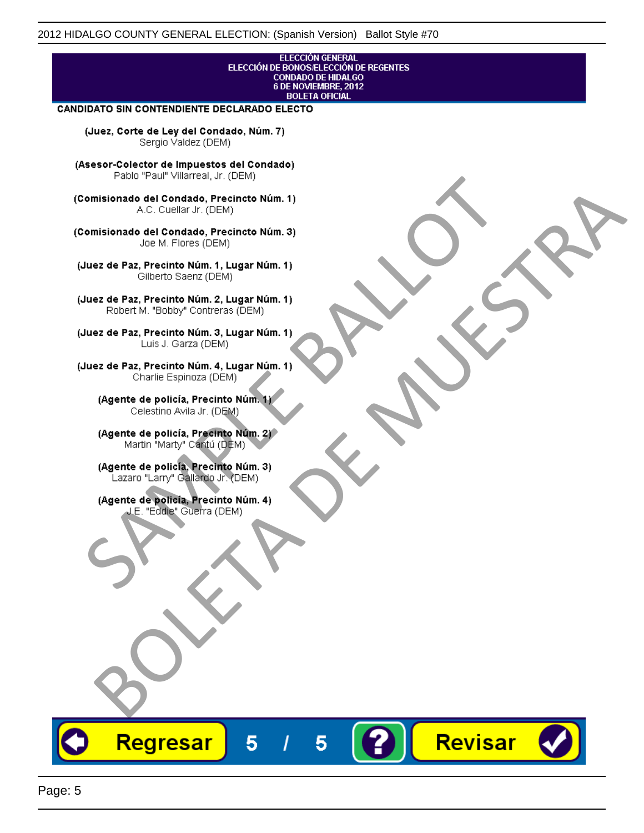# **ELECCIÓN GENERAL** ELECCIÓN DE BONOSÆLECCIÓN DE REGENTES<br>CONDADO DE HIDALGO<br>6 DE NOVIEMBRE, 2012 **BOLETA OFICIAL CANDIDATO SIN CONTENDIENTE DECLARADO ELECTO** (Juez, Corte de Ley del Condado, Núm. 7) Sergio Valdez (DEM) (Asesor-Colector de Impuestos del Condado) Fallo Fall Willdrea, J.I. (DEM)<br>
Consistionado el Condado, Precincto Núm. 1)<br>
A.C. Cuellar Jr. (DEM)<br>
Ullez de Paz, Precinto Núm. 1)<br>
Juez de Paz, Precinto Núm. 1, Lugar Núm. 1)<br>
Gilberto Sentr (DEM)<br>
Robert M. "Bobby" Con misionado del Condiado, Precincto Núm. 1)<br>
Andro del Condiado, Precincto Núm. 3)<br>
ez de Paz, Precinto Núm. 21<br>
algo M. Picer Lo Saerz, Cichi (DEM)<br>
algo M. Picer Lo Saerz, Cichi (DEM)<br>
algo M. Picer Lo Saerz, Cichi (DEM)<br> Revisar Regresar 5 5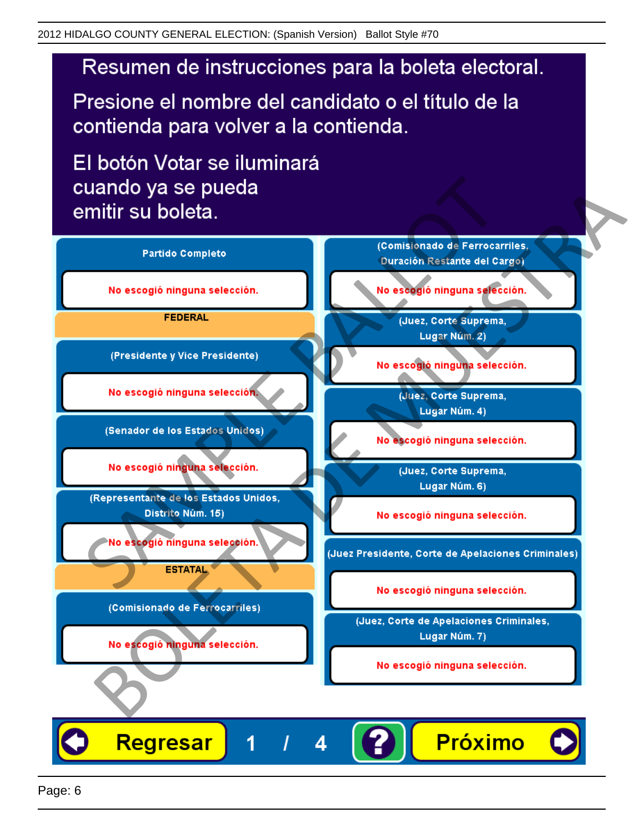Presione el nombre del candidato o el título de la contienda para volver a la contienda.

El botón Votar se iluminará

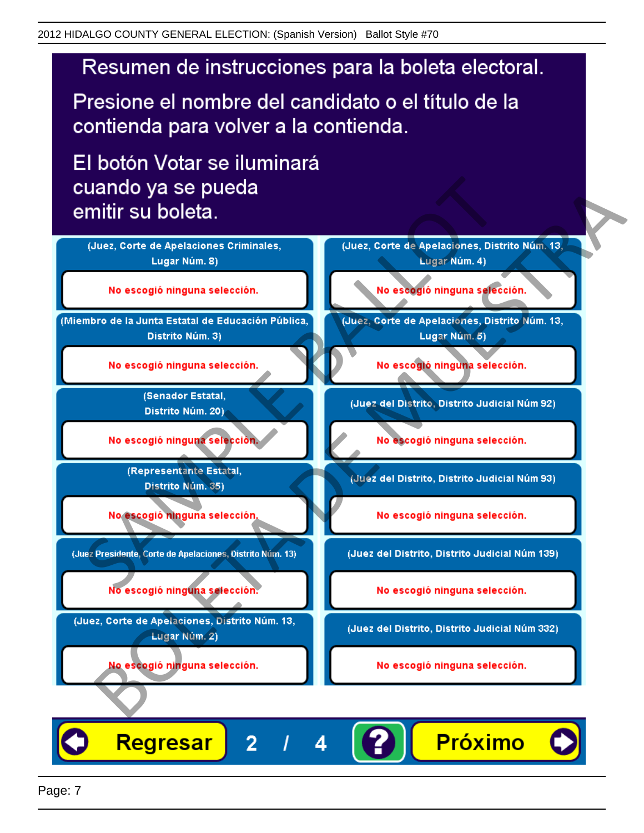Presione el nombre del candidato o el título de la contienda para volver a la contienda.

El botón Votar se iluminará



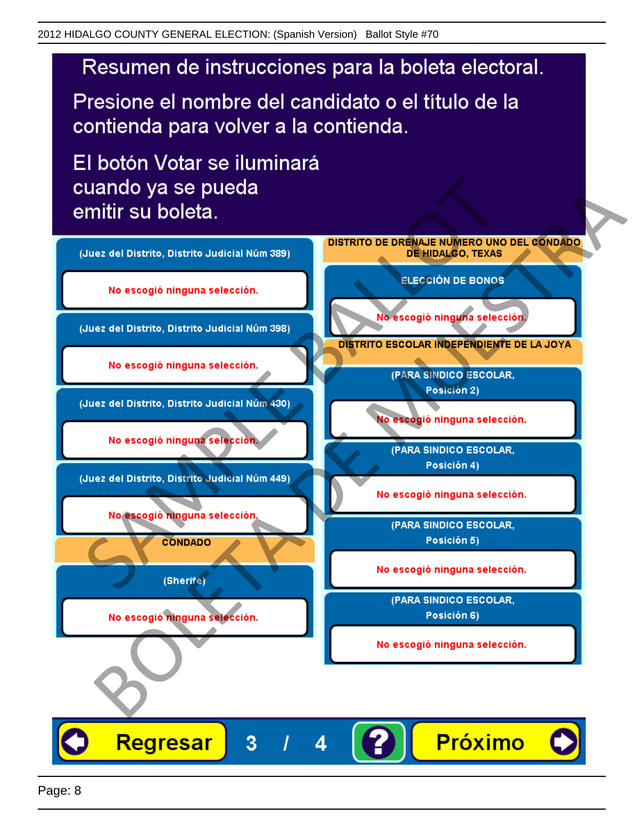Presione el nombre del candidato o el título de la contienda para volver a la contienda.

El botón Votar se iluminará